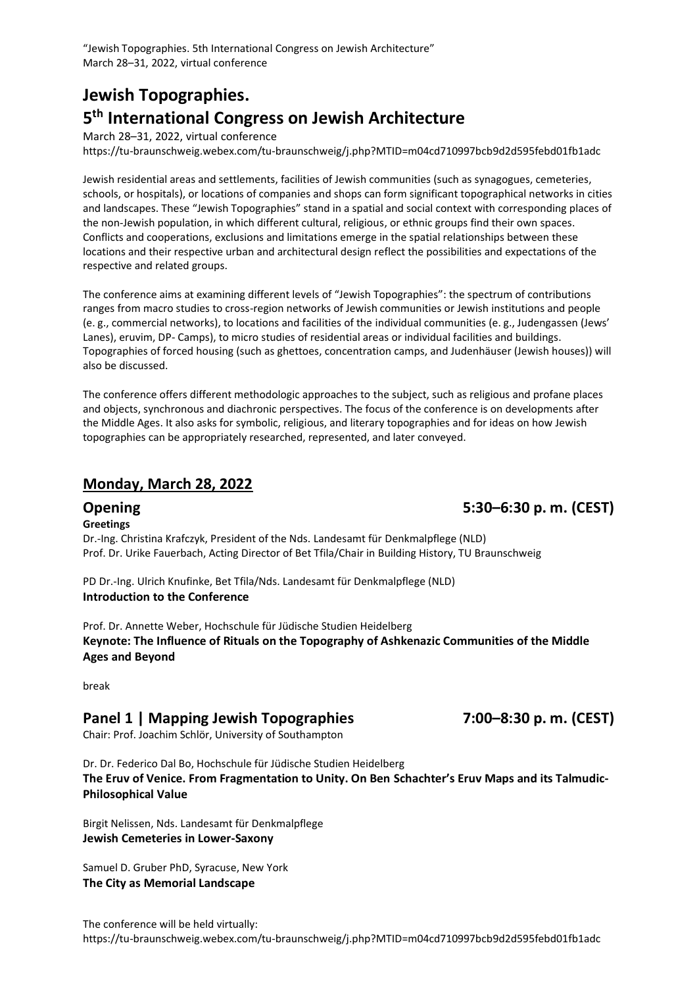"Jewish Topographies. 5th International Congress on Jewish Architecture" March 28–31, 2022, virtual conference

# **Jewish Topographies. 5 th International Congress on Jewish Architecture**

March 28–31, 2022, virtual conference https://tu-braunschweig.webex.com/tu-braunschweig/j.php?MTID=m04cd710997bcb9d2d595febd01fb1adc

Jewish residential areas and settlements, facilities of Jewish communities (such as synagogues, cemeteries, schools, or hospitals), or locations of companies and shops can form significant topographical networks in cities and landscapes. These "Jewish Topographies" stand in a spatial and social context with corresponding places of the non-Jewish population, in which different cultural, religious, or ethnic groups find their own spaces. Conflicts and cooperations, exclusions and limitations emerge in the spatial relationships between these locations and their respective urban and architectural design reflect the possibilities and expectations of the respective and related groups.

The conference aims at examining different levels of "Jewish Topographies": the spectrum of contributions ranges from macro studies to cross-region networks of Jewish communities or Jewish institutions and people (e. g., commercial networks), to locations and facilities of the individual communities (e. g., Judengassen (Jews' Lanes), eruvim, DP- Camps), to micro studies of residential areas or individual facilities and buildings. Topographies of forced housing (such as ghettoes, concentration camps, and Judenhäuser (Jewish houses)) will also be discussed.

The conference offers different methodologic approaches to the subject, such as religious and profane places and objects, synchronous and diachronic perspectives. The focus of the conference is on developments after the Middle Ages. It also asks for symbolic, religious, and literary topographies and for ideas on how Jewish topographies can be appropriately researched, represented, and later conveyed.

#### **Monday, March 28, 2022**

**Greetings**

Dr.-Ing. Christina Krafczyk, President of the Nds. Landesamt für Denkmalpflege (NLD) Prof. Dr. Urike Fauerbach, Acting Director of Bet Tfila/Chair in Building History, TU Braunschweig

PD Dr.-Ing. Ulrich Knufinke, Bet Tfila/Nds. Landesamt für Denkmalpflege (NLD) **Introduction to the Conference**

Prof. Dr. Annette Weber, Hochschule für Jüdische Studien Heidelberg **Keynote: The Influence of Rituals on the Topography of Ashkenazic Communities of the Middle Ages and Beyond**

break

#### **Panel 1 | Mapping Jewish Topographies 7:00–8:30 p. m. (CEST)**

Chair: Prof. Joachim Schlör, University of Southampton

Dr. Dr. Federico Dal Bo, Hochschule für Jüdische Studien Heidelberg **The Eruv of Venice. From Fragmentation to Unity. On Ben Schachter's Eruv Maps and its Talmudic-Philosophical Value**

Birgit Nelissen, Nds. Landesamt für Denkmalpflege **Jewish Cemeteries in Lower-Saxony**

Samuel D. Gruber PhD, Syracuse, New York **The City as Memorial Landscape**

**Opening 5:30–6:30 p. m. (CEST)**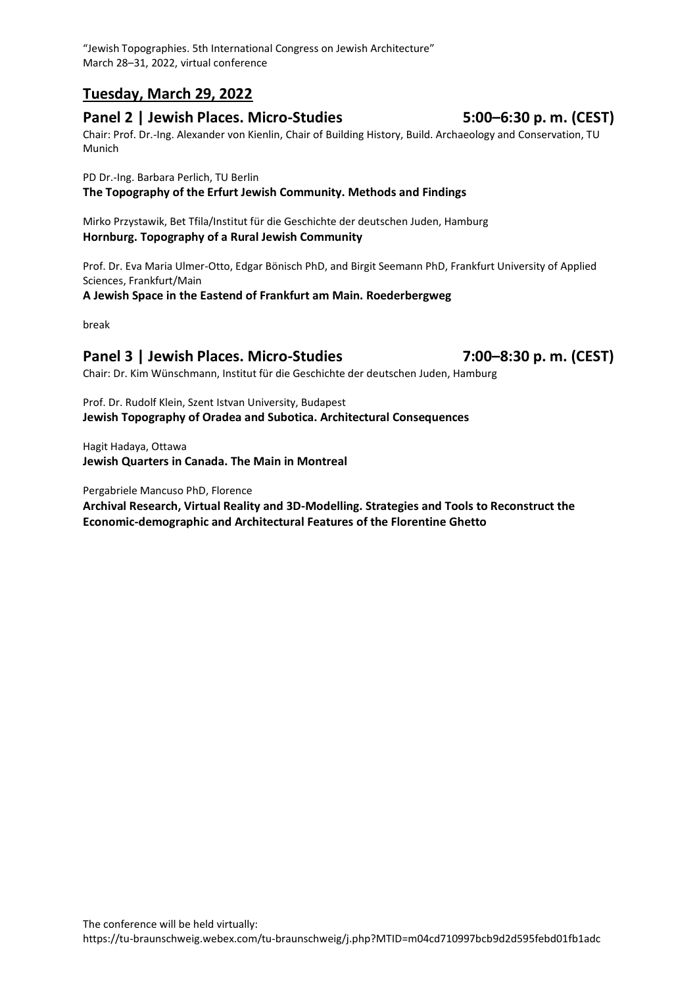"Jewish Topographies. 5th International Congress on Jewish Architecture" March 28–31, 2022, virtual conference

## **Tuesday, March 29, 2022**

### **Panel 2 | Jewish Places. Micro-Studies 5:00–6:30 p. m. (CEST)**

Chair: Prof. Dr.-Ing. Alexander von Kienlin, Chair of Building History, Build. Archaeology and Conservation, TU Munich

PD Dr.-Ing. Barbara Perlich, TU Berlin

**The Topography of the Erfurt Jewish Community. Methods and Findings**

Mirko Przystawik, Bet Tfila/Institut für die Geschichte der deutschen Juden, Hamburg **Hornburg. Topography of a Rural Jewish Community**

Prof. Dr. Eva Maria Ulmer-Otto, Edgar Bönisch PhD, and Birgit Seemann PhD, Frankfurt University of Applied Sciences, Frankfurt/Main

**A Jewish Space in the Eastend of Frankfurt am Main. Roederbergweg**

break

## **Panel 3 | Jewish Places. Micro-Studies 7:00–8:30 p. m. (CEST)**

Chair: Dr. Kim Wünschmann, Institut für die Geschichte der deutschen Juden, Hamburg

Prof. Dr. Rudolf Klein, Szent Istvan University, Budapest **Jewish Topography of Oradea and Subotica. Architectural Consequences**

Hagit Hadaya, Ottawa **Jewish Quarters in Canada. The Main in Montreal**

Pergabriele Mancuso PhD, Florence

**Archival Research, Virtual Reality and 3D-Modelling. Strategies and Tools to Reconstruct the Economic-demographic and Architectural Features of the Florentine Ghetto**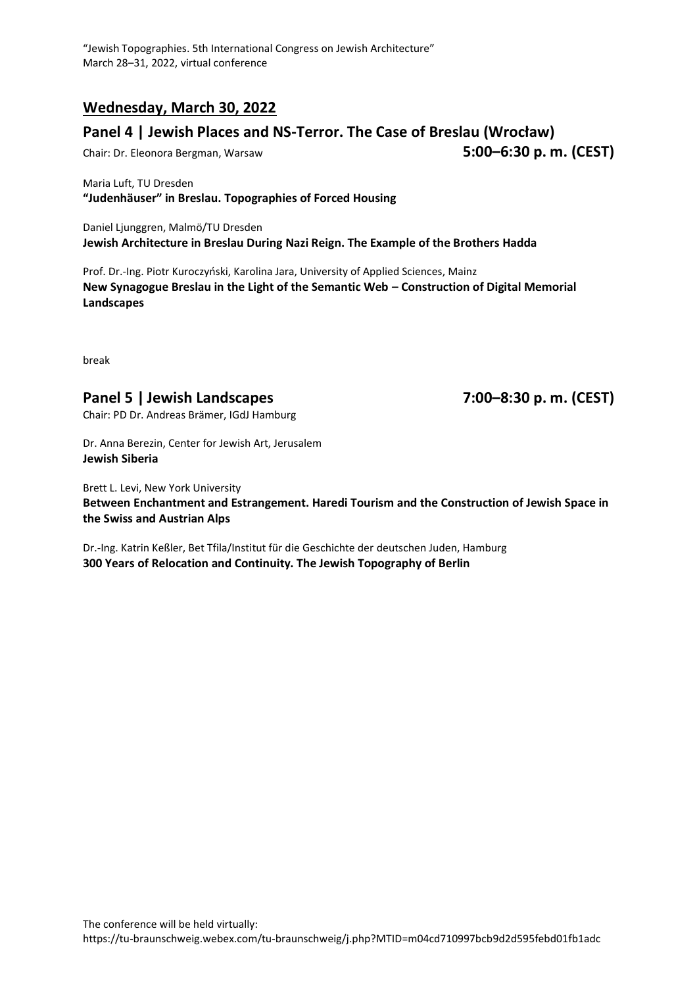## **Wednesday, March 30, 2022**

## **Panel 4 | Jewish Places and NS-Terror. The Case of Breslau (Wrocław)**

Chair: Dr. Eleonora Bergman, Warsaw **5:00–6:30 p. m. (CEST)**

Maria Luft, TU Dresden **"Judenhäuser" in Breslau. Topographies of Forced Housing**

Daniel Ljunggren, Malmö/TU Dresden **Jewish Architecture in Breslau During Nazi Reign. The Example of the Brothers Hadda**

Prof. Dr.-Ing. Piotr Kuroczyński, Karolina Jara, University of Applied Sciences, Mainz **New Synagogue Breslau in the Light of the Semantic Web – Construction of Digital Memorial Landscapes**

break

## **Panel 5 | Jewish Landscapes 7:00–8:30 p. m. (CEST)**

Chair: PD Dr. Andreas Brämer, IGdJ Hamburg

Dr. Anna Berezin, Center for Jewish Art, Jerusalem **Jewish Siberia**

Brett L. Levi, New York University **Between Enchantment and Estrangement. Haredi Tourism and the Construction of Jewish Space in the Swiss and Austrian Alps**

Dr.-Ing. Katrin Keßler, Bet Tfila/Institut für die Geschichte der deutschen Juden, Hamburg **300 Years of Relocation and Continuity. The Jewish Topography of Berlin**